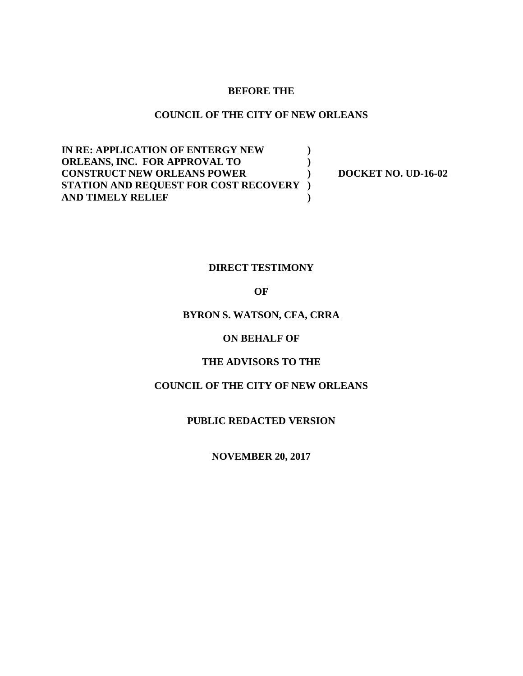#### **BEFORE THE**

### **COUNCIL OF THE CITY OF NEW ORLEANS**

**IN RE: APPLICATION OF ENTERGY NEW ) ORLEANS, INC. FOR APPROVAL TO ) CONSTRUCT NEW ORLEANS POWER ) DOCKET NO. UD-16-02 STATION AND REQUEST FOR COST RECOVERY ) AND TIMELY RELIEF )**

#### **DIRECT TESTIMONY**

#### **OF**

#### **BYRON S. WATSON, CFA, CRRA**

#### **ON BEHALF OF**

#### **THE ADVISORS TO THE**

#### **COUNCIL OF THE CITY OF NEW ORLEANS**

#### **PUBLIC REDACTED VERSION**

**NOVEMBER 20, 2017**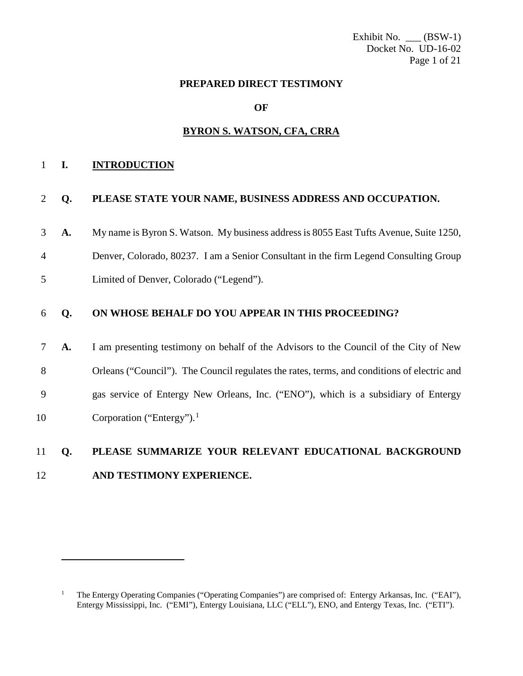Exhibit No.  $\_\_ (BSW-1)$ Docket No. UD-16-02 Page 1 of 21

#### **PREPARED DIRECT TESTIMONY**

#### **OF**

#### **BYRON S. WATSON, CFA, CRRA**

#### 1 **I. INTRODUCTION**

 $\overline{a}$ 

#### 2 **Q. PLEASE STATE YOUR NAME, BUSINESS ADDRESS AND OCCUPATION.**

3 **A.** My name is Byron S. Watson. My business address is 8055 East Tufts Avenue, Suite 1250,

4 Denver, Colorado, 80237. I am a Senior Consultant in the firm Legend Consulting Group

5 Limited of Denver, Colorado ("Legend").

#### 6 **Q. ON WHOSE BEHALF DO YOU APPEAR IN THIS PROCEEDING?**

 **A.** I am presenting testimony on behalf of the Advisors to the Council of the City of New Orleans ("Council"). The Council regulates the rates, terms, and conditions of electric and gas service of Entergy New Orleans, Inc. ("ENO"), which is a subsidiary of Entergy 0 Corporation ("Entergy").<sup>1</sup>

### 11 **Q. PLEASE SUMMARIZE YOUR RELEVANT EDUCATIONAL BACKGROUND**  12 **AND TESTIMONY EXPERIENCE.**

<span id="page-1-0"></span><sup>&</sup>lt;sup>1</sup> The Entergy Operating Companies ("Operating Companies") are comprised of: Entergy Arkansas, Inc. ("EAI"), Entergy Mississippi, Inc. ("EMI"), Entergy Louisiana, LLC ("ELL"), ENO, and Entergy Texas, Inc. ("ETI").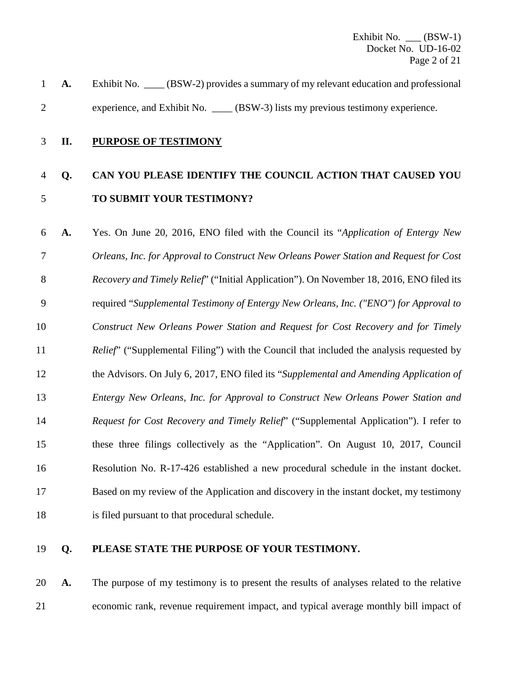**A.** Exhibit No. \_\_\_\_ (BSW-2) provides a summary of my relevant education and professional experience, and Exhibit No. \_\_\_\_ (BSW-3) lists my previous testimony experience.

### **II. PURPOSE OF TESTIMONY**

### **Q. CAN YOU PLEASE IDENTIFY THE COUNCIL ACTION THAT CAUSED YOU TO SUBMIT YOUR TESTIMONY?**

 **A.** Yes. On June 20, 2016, ENO filed with the Council its "*Application of Entergy New Orleans, Inc. for Approval to Construct New Orleans Power Station and Request for Cost Recovery and Timely Relief*" ("Initial Application"). On November 18, 2016, ENO filed its required "*Supplemental Testimony of Entergy New Orleans, Inc. ("ENO") for Approval to Construct New Orleans Power Station and Request for Cost Recovery and for Timely Relief*" ("Supplemental Filing") with the Council that included the analysis requested by the Advisors. On July 6, 2017, ENO filed its "*Supplemental and Amending Application of Entergy New Orleans, Inc. for Approval to Construct New Orleans Power Station and Request for Cost Recovery and Timely Relief*" ("Supplemental Application"). I refer to these three filings collectively as the "Application". On August 10, 2017, Council Resolution No. R-17-426 established a new procedural schedule in the instant docket. Based on my review of the Application and discovery in the instant docket, my testimony is filed pursuant to that procedural schedule.

#### **Q. PLEASE STATE THE PURPOSE OF YOUR TESTIMONY.**

 **A.** The purpose of my testimony is to present the results of analyses related to the relative economic rank, revenue requirement impact, and typical average monthly bill impact of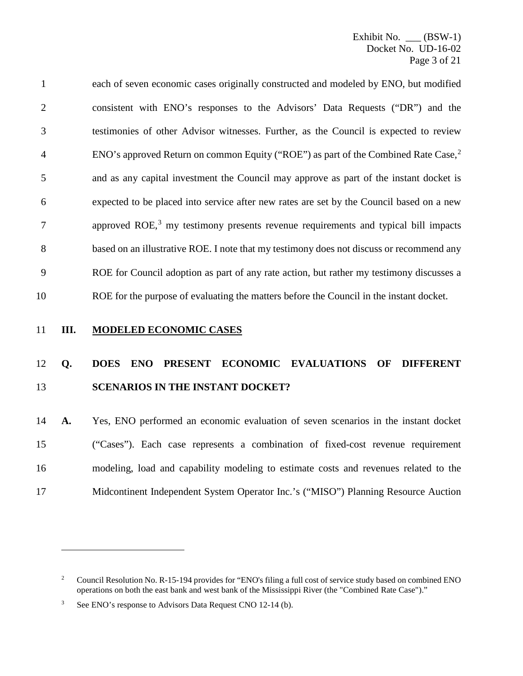each of seven economic cases originally constructed and modeled by ENO, but modified consistent with ENO's responses to the Advisors' Data Requests ("DR") and the testimonies of other Advisor witnesses. Further, as the Council is expected to review ENO's approved Return on common Equity ("ROE") as part of the Combined Rate Case,[2](#page-3-0) and as any capital investment the Council may approve as part of the instant docket is expected to be placed into service after new rates are set by the Council based on a new  $7 \text{ approximately } 7$  approved ROE,<sup>[3](#page-3-1)</sup> my testimony presents revenue requirements and typical bill impacts based on an illustrative ROE. I note that my testimony does not discuss or recommend any ROE for Council adoption as part of any rate action, but rather my testimony discusses a ROE for the purpose of evaluating the matters before the Council in the instant docket.

 $\overline{a}$ 

### **III. MODELED ECONOMIC CASES**

### **Q. DOES ENO PRESENT ECONOMIC EVALUATIONS OF DIFFERENT SCENARIOS IN THE INSTANT DOCKET?**

 **A.** Yes, ENO performed an economic evaluation of seven scenarios in the instant docket ("Cases"). Each case represents a combination of fixed-cost revenue requirement modeling, load and capability modeling to estimate costs and revenues related to the Midcontinent Independent System Operator Inc.'s ("MISO") Planning Resource Auction

<span id="page-3-0"></span><sup>&</sup>lt;sup>2</sup> Council Resolution No. R-15-194 provides for "ENO's filing a full cost of service study based on combined ENO operations on both the east bank and west bank of the Mississippi River (the "Combined Rate Case")."

<span id="page-3-1"></span><sup>&</sup>lt;sup>3</sup> See ENO's response to Advisors Data Request CNO 12-14 (b).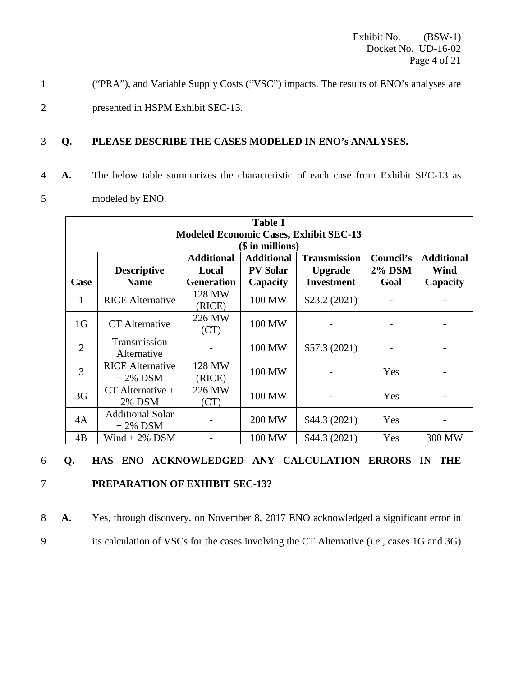Exhibit No.  $\_\_ (BSW-1)$ Docket No. UD-16-02 Page 4 of 21

- 1 ("PRA"), and Variable Supply Costs ("VSC") impacts. The results of ENO's analyses are
- 2 presented in HSPM Exhibit SEC-13.

### 3 **Q. PLEASE DESCRIBE THE CASES MODELED IN ENO's ANALYSES.**

4 **A.** The below table summarizes the characteristic of each case from Exhibit SEC-13 as 5 modeled by ENO.

| <b>Table 1</b> |                                               |                   |                   |                     |               |                   |  |
|----------------|-----------------------------------------------|-------------------|-------------------|---------------------|---------------|-------------------|--|
|                | <b>Modeled Economic Cases, Exhibit SEC-13</b> |                   |                   |                     |               |                   |  |
|                |                                               |                   | $($$ in millions) |                     |               |                   |  |
|                |                                               | <b>Additional</b> | <b>Additional</b> | <b>Transmission</b> | Council's     | <b>Additional</b> |  |
|                | <b>Descriptive</b>                            | Local             | <b>PV Solar</b>   | <b>Upgrade</b>      | <b>2% DSM</b> | Wind              |  |
| Case           | <b>Name</b>                                   | <b>Generation</b> | Capacity          | <b>Investment</b>   | Goal          | Capacity          |  |
| $\mathbf{1}$   | <b>RICE</b> Alternative                       | 128 MW            | 100 MW            | \$23.2(2021)        |               |                   |  |
|                |                                               | (RICE)            |                   |                     |               |                   |  |
| 1 <sub>G</sub> | <b>CT</b> Alternative                         | 226 MW            | 100 MW            |                     |               |                   |  |
|                |                                               | (CT)              |                   |                     |               |                   |  |
| $\overline{2}$ | Transmission                                  |                   | 100 MW            | \$57.3(2021)        |               |                   |  |
|                | Alternative                                   |                   |                   |                     |               |                   |  |
| 3              | <b>RICE</b> Alternative                       | 128 MW            | 100 MW            |                     | Yes           |                   |  |
|                | $+2\%$ DSM                                    | (RICE)            |                   |                     |               |                   |  |
| 3 <sub>G</sub> | $CT$ Alternative +                            | 226 MW            | 100 MW            |                     | Yes           |                   |  |
|                | 2% DSM                                        | (CT)              |                   |                     |               |                   |  |
| 4A             | <b>Additional Solar</b>                       |                   |                   |                     |               |                   |  |
|                | $+2\%$ DSM                                    |                   | 200 MW            | \$44.3(2021)        | Yes           |                   |  |
| 4B             | $Wind + 2\%$ DSM                              |                   | 100 MW            | \$44.3 (2021)       | Yes           | 300 MW            |  |

### 6 **Q. HAS ENO ACKNOWLEDGED ANY CALCULATION ERRORS IN THE**  7 **PREPARATION OF EXHIBIT SEC-13?**

8 **A.** Yes, through discovery, on November 8, 2017 ENO acknowledged a significant error in 9 its calculation of VSCs for the cases involving the CT Alternative (*i.e.,* cases 1G and 3G)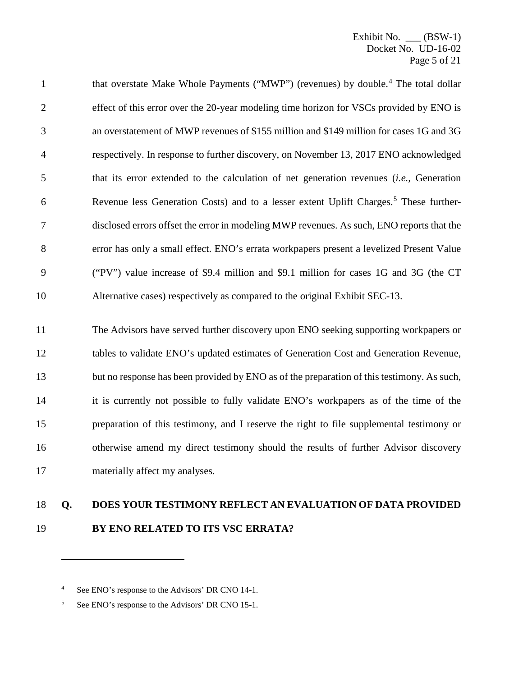| $\mathbf{1}$   | that overstate Make Whole Payments ("MWP") (revenues) by double. <sup>4</sup> The total dollar    |
|----------------|---------------------------------------------------------------------------------------------------|
| $\overline{2}$ | effect of this error over the 20-year modeling time horizon for VSCs provided by ENO is           |
| 3              | an overstatement of MWP revenues of \$155 million and \$149 million for cases 1G and 3G           |
| $\overline{4}$ | respectively. In response to further discovery, on November 13, 2017 ENO acknowledged             |
| 5              | that its error extended to the calculation of net generation revenues (i.e., Generation           |
| 6              | Revenue less Generation Costs) and to a lesser extent Uplift Charges. <sup>5</sup> These further- |
| $\overline{7}$ | disclosed errors offset the error in modeling MWP revenues. As such, ENO reports that the         |
| 8              | error has only a small effect. ENO's errata workpapers present a levelized Present Value          |
| 9              | ("PV") value increase of \$9.4 million and \$9.1 million for cases 1G and 3G (the CT)             |
| 10             | Alternative cases) respectively as compared to the original Exhibit SEC-13.                       |
| 11             | The Advisors have served further discovery upon ENO seeking supporting workpapers or              |

 tables to validate ENO's updated estimates of Generation Cost and Generation Revenue, 13 but no response has been provided by ENO as of the preparation of this testimony. As such, it is currently not possible to fully validate ENO's workpapers as of the time of the preparation of this testimony, and I reserve the right to file supplemental testimony or otherwise amend my direct testimony should the results of further Advisor discovery materially affect my analyses.

### **Q. DOES YOUR TESTIMONY REFLECT AN EVALUATION OF DATA PROVIDED BY ENO RELATED TO ITS VSC ERRATA?**

 $\overline{a}$ 

<span id="page-5-0"></span><sup>&</sup>lt;sup>4</sup> See ENO's response to the Advisors' DR CNO 14-1.

<span id="page-5-1"></span><sup>&</sup>lt;sup>5</sup> See ENO's response to the Advisors' DR CNO 15-1.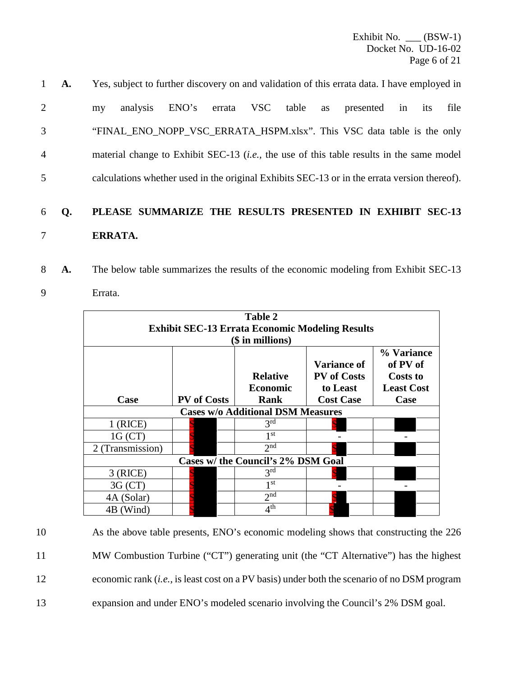|                | $1 \quad A.$ | Yes, subject to further discovery on and validation of this errata data. I have employed in     |
|----------------|--------------|-------------------------------------------------------------------------------------------------|
| $\overline{2}$ |              | errata VSC table as<br>analysis<br>ENO's<br>file<br>presented<br>in<br>its<br>my                |
| 3              |              | "FINAL ENO_NOPP_VSC_ERRATA_HSPM.xlsx". This VSC data table is the only                          |
| $\overline{4}$ |              | material change to Exhibit SEC-13 <i>(i.e., the use of this table results in the same model</i> |
| 5              |              | calculations whether used in the original Exhibits SEC-13 or in the errata version thereof).    |
|                |              |                                                                                                 |

### 6 **Q. PLEASE SUMMARIZE THE RESULTS PRESENTED IN EXHIBIT SEC-13**  7 **ERRATA.**

| 8 <b>A.</b> | The below table summarizes the results of the economic modeling from Exhibit SEC-13 |
|-------------|-------------------------------------------------------------------------------------|
|             | Errata.                                                                             |

| Table 2<br><b>Exhibit SEC-13 Errata Economic Modeling Results</b> |                                    |                                            |                                                                          |                                                                        |  |
|-------------------------------------------------------------------|------------------------------------|--------------------------------------------|--------------------------------------------------------------------------|------------------------------------------------------------------------|--|
|                                                                   |                                    | $($$ in millions)                          |                                                                          |                                                                        |  |
| Case                                                              | <b>PV</b> of Costs                 | <b>Relative</b><br><b>Economic</b><br>Rank | <b>Variance of</b><br><b>PV</b> of Costs<br>to Least<br><b>Cost Case</b> | % Variance<br>of PV of<br><b>Costs to</b><br><b>Least Cost</b><br>Case |  |
|                                                                   |                                    | <b>Cases w/o Additional DSM Measures</b>   |                                                                          |                                                                        |  |
| $1$ (RICE)                                                        |                                    | 3 <sup>rd</sup>                            |                                                                          |                                                                        |  |
| 1G (CT)                                                           |                                    | 1 <sup>st</sup>                            |                                                                          |                                                                        |  |
| 2 (Transmission)                                                  |                                    | 2 <sub>nd</sub>                            |                                                                          |                                                                        |  |
|                                                                   | Cases w/ the Council's 2% DSM Goal |                                            |                                                                          |                                                                        |  |
| $3$ (RICE)                                                        |                                    | 3 <sup>rd</sup>                            |                                                                          |                                                                        |  |
| 3G (CT)                                                           |                                    | 1 <sup>st</sup>                            |                                                                          |                                                                        |  |
| 4A (Solar)                                                        |                                    | 2 <sub>nd</sub>                            |                                                                          |                                                                        |  |
| 4B (Wind)                                                         |                                    | 4 <sup>th</sup>                            |                                                                          |                                                                        |  |

10 As the above table presents, ENO's economic modeling shows that constructing the 226 11 MW Combustion Turbine ("CT") generating unit (the "CT Alternative") has the highest 12 economic rank (*i.e.,* is least cost on a PV basis) under both the scenario of no DSM program 13 expansion and under ENO's modeled scenario involving the Council's 2% DSM goal.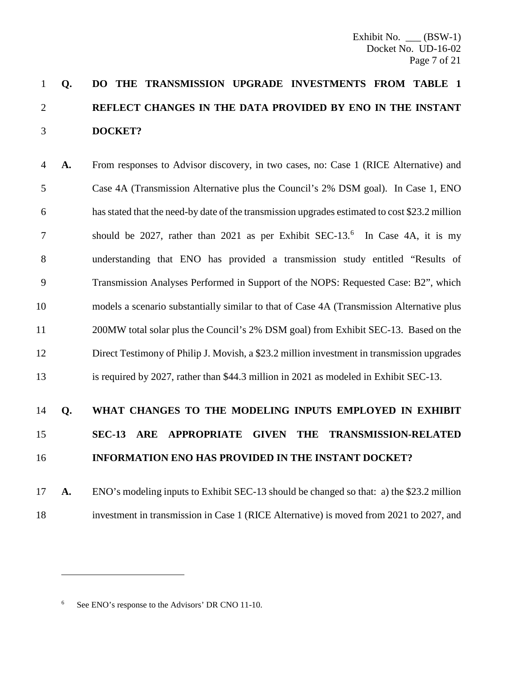## **Q. DO THE TRANSMISSION UPGRADE INVESTMENTS FROM TABLE 1 REFLECT CHANGES IN THE DATA PROVIDED BY ENO IN THE INSTANT DOCKET?**

 **A.** From responses to Advisor discovery, in two cases, no: Case 1 (RICE Alternative) and Case 4A (Transmission Alternative plus the Council's 2% DSM goal). In Case 1, ENO has stated that the need-by date of the transmission upgrades estimated to cost \$23.2 million 7 should be 2027, rather than 2021 as per Exhibit SEC-13.<sup>[6](#page-7-0)</sup> In Case 4A, it is my understanding that ENO has provided a transmission study entitled "Results of Transmission Analyses Performed in Support of the NOPS: Requested Case: B2", which models a scenario substantially similar to that of Case 4A (Transmission Alternative plus 200MW total solar plus the Council's 2% DSM goal) from Exhibit SEC-13. Based on the Direct Testimony of Philip J. Movish, a \$23.2 million investment in transmission upgrades is required by 2027, rather than \$44.3 million in 2021 as modeled in Exhibit SEC-13.

## **Q. WHAT CHANGES TO THE MODELING INPUTS EMPLOYED IN EXHIBIT SEC-13 ARE APPROPRIATE GIVEN THE TRANSMISSION-RELATED INFORMATION ENO HAS PROVIDED IN THE INSTANT DOCKET?**

 $\overline{a}$ 

 **A.** ENO's modeling inputs to Exhibit SEC-13 should be changed so that: a) the \$23.2 million investment in transmission in Case 1 (RICE Alternative) is moved from 2021 to 2027, and

<span id="page-7-0"></span><sup>&</sup>lt;sup>6</sup> See ENO's response to the Advisors' DR CNO 11-10.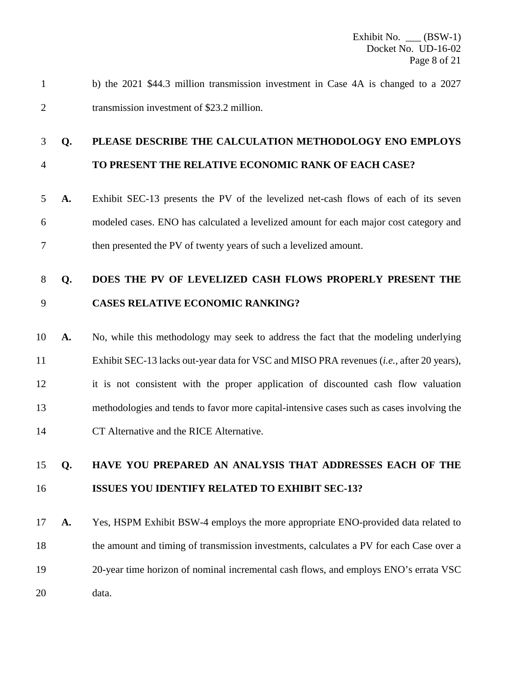b) the 2021 \$44.3 million transmission investment in Case 4A is changed to a 2027 transmission investment of \$23.2 million.

### **Q. PLEASE DESCRIBE THE CALCULATION METHODOLOGY ENO EMPLOYS**

### **TO PRESENT THE RELATIVE ECONOMIC RANK OF EACH CASE?**

 **A.** Exhibit SEC-13 presents the PV of the levelized net-cash flows of each of its seven modeled cases. ENO has calculated a levelized amount for each major cost category and then presented the PV of twenty years of such a levelized amount.

### **Q. DOES THE PV OF LEVELIZED CASH FLOWS PROPERLY PRESENT THE CASES RELATIVE ECONOMIC RANKING?**

 **A.** No, while this methodology may seek to address the fact that the modeling underlying Exhibit SEC-13 lacks out-year data for VSC and MISO PRA revenues (*i.e.,* after 20 years), it is not consistent with the proper application of discounted cash flow valuation methodologies and tends to favor more capital-intensive cases such as cases involving the CT Alternative and the RICE Alternative.

### **Q. HAVE YOU PREPARED AN ANALYSIS THAT ADDRESSES EACH OF THE ISSUES YOU IDENTIFY RELATED TO EXHIBIT SEC-13?**

 **A.** Yes, HSPM Exhibit BSW-4 employs the more appropriate ENO-provided data related to the amount and timing of transmission investments, calculates a PV for each Case over a 20-year time horizon of nominal incremental cash flows, and employs ENO's errata VSC data.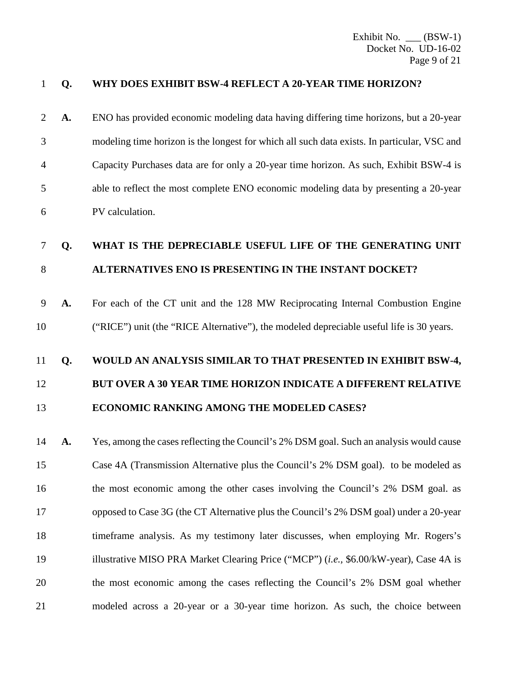#### **Q. WHY DOES EXHIBIT BSW-4 REFLECT A 20-YEAR TIME HORIZON?**

 **A.** ENO has provided economic modeling data having differing time horizons, but a 20-year modeling time horizon is the longest for which all such data exists. In particular, VSC and Capacity Purchases data are for only a 20-year time horizon. As such, Exhibit BSW-4 is able to reflect the most complete ENO economic modeling data by presenting a 20-year PV calculation.

### **Q. WHAT IS THE DEPRECIABLE USEFUL LIFE OF THE GENERATING UNIT ALTERNATIVES ENO IS PRESENTING IN THE INSTANT DOCKET?**

 **A.** For each of the CT unit and the 128 MW Reciprocating Internal Combustion Engine ("RICE") unit (the "RICE Alternative"), the modeled depreciable useful life is 30 years.

### **Q. WOULD AN ANALYSIS SIMILAR TO THAT PRESENTED IN EXHIBIT BSW-4,**

### **BUT OVER A 30 YEAR TIME HORIZON INDICATE A DIFFERENT RELATIVE ECONOMIC RANKING AMONG THE MODELED CASES?**

 **A.** Yes, among the cases reflecting the Council's 2% DSM goal. Such an analysis would cause Case 4A (Transmission Alternative plus the Council's 2% DSM goal). to be modeled as 16 the most economic among the other cases involving the Council's 2% DSM goal. as opposed to Case 3G (the CT Alternative plus the Council's 2% DSM goal) under a 20-year timeframe analysis. As my testimony later discusses, when employing Mr. Rogers's illustrative MISO PRA Market Clearing Price ("MCP") (*i.e.,* \$6.00/kW-year), Case 4A is the most economic among the cases reflecting the Council's 2% DSM goal whether modeled across a 20-year or a 30-year time horizon. As such, the choice between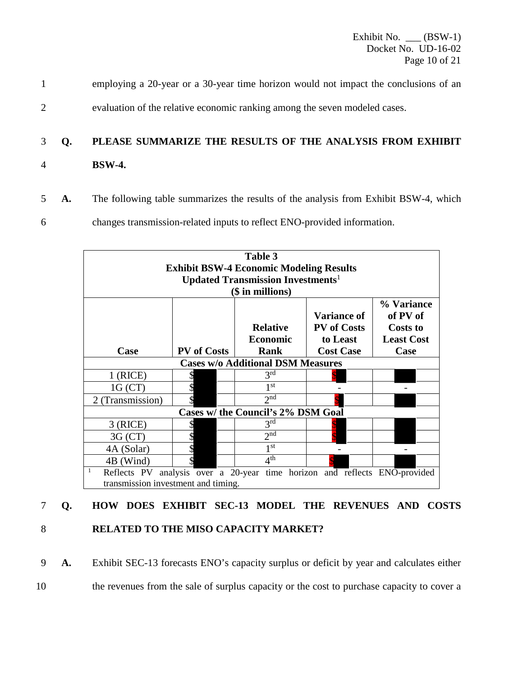1 employing a 20-year or a 30-year time horizon would not impact the conclusions of an 2 evaluation of the relative economic ranking among the seven modeled cases.

### 3 **Q. PLEASE SUMMARIZE THE RESULTS OF THE ANALYSIS FROM EXHIBIT**

- 4 **BSW-4.**
- 5 **A.** The following table summarizes the results of the analysis from Exhibit BSW-4, which 6 changes transmission-related inputs to reflect ENO-provided information.

| Table 3<br><b>Exhibit BSW-4 Economic Modeling Results</b>                                                                 |                    |                                                      |                                                      |                                                                |
|---------------------------------------------------------------------------------------------------------------------------|--------------------|------------------------------------------------------|------------------------------------------------------|----------------------------------------------------------------|
|                                                                                                                           |                    | <b>Updated Transmission Investments</b> <sup>1</sup> |                                                      |                                                                |
|                                                                                                                           |                    | $($$ in millions)                                    |                                                      |                                                                |
|                                                                                                                           |                    | <b>Relative</b><br><b>Economic</b>                   | <b>Variance of</b><br><b>PV</b> of Costs<br>to Least | % Variance<br>of PV of<br><b>Costs to</b><br><b>Least Cost</b> |
| Case                                                                                                                      | <b>PV</b> of Costs | <b>Rank</b>                                          | <b>Cost Case</b>                                     | Case                                                           |
|                                                                                                                           |                    | <b>Cases w/o Additional DSM Measures</b>             |                                                      |                                                                |
| $1$ (RICE)                                                                                                                |                    | 3 <sup>rd</sup>                                      |                                                      |                                                                |
| 1G (CT)                                                                                                                   |                    | 1 <sup>st</sup>                                      |                                                      |                                                                |
| 2 (Transmission)                                                                                                          |                    | 2 <sub>nd</sub>                                      |                                                      |                                                                |
|                                                                                                                           |                    | Cases w/ the Council's 2% DSM Goal                   |                                                      |                                                                |
| $3$ (RICE)                                                                                                                |                    | 3 <sup>rd</sup>                                      |                                                      |                                                                |
| 3G (CT)                                                                                                                   |                    | 2 <sub>nd</sub>                                      |                                                      |                                                                |
| 4A (Solar)                                                                                                                |                    | 1 <sup>st</sup>                                      |                                                      |                                                                |
| 4B (Wind)                                                                                                                 |                    | 4 <sup>th</sup>                                      |                                                      |                                                                |
| analysis over a 20-year time horizon and reflects ENO-provided<br>1<br>Reflects PV<br>transmission investment and timing. |                    |                                                      |                                                      |                                                                |

# 7 **Q. HOW DOES EXHIBIT SEC-13 MODEL THE REVENUES AND COSTS**

8 **RELATED TO THE MISO CAPACITY MARKET?**

9 **A.** Exhibit SEC-13 forecasts ENO's capacity surplus or deficit by year and calculates either 10 the revenues from the sale of surplus capacity or the cost to purchase capacity to cover a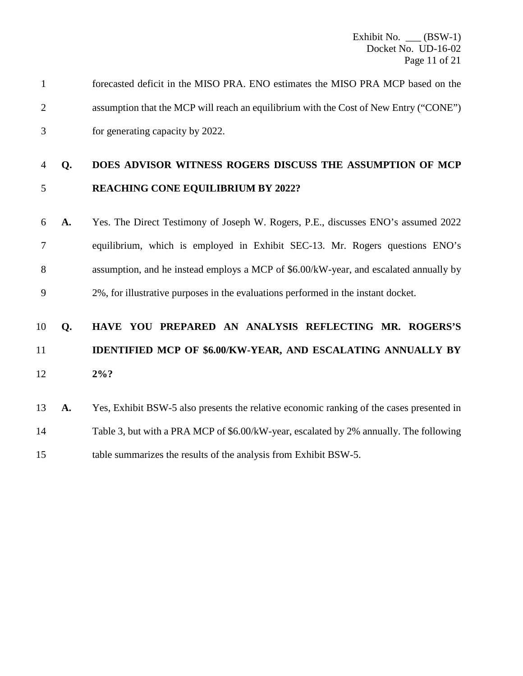| forecasted deficit in the MISO PRA. ENO estimates the MISO PRA MCP based on the       |
|---------------------------------------------------------------------------------------|
| assumption that the MCP will reach an equilibrium with the Cost of New Entry ("CONE") |
| for generating capacity by 2022.                                                      |

### **Q. DOES ADVISOR WITNESS ROGERS DISCUSS THE ASSUMPTION OF MCP REACHING CONE EQUILIBRIUM BY 2022?**

 **A.** Yes. The Direct Testimony of Joseph W. Rogers, P.E., discusses ENO's assumed 2022 equilibrium, which is employed in Exhibit SEC-13. Mr. Rogers questions ENO's assumption, and he instead employs a MCP of \$6.00/kW-year, and escalated annually by 2%, for illustrative purposes in the evaluations performed in the instant docket.

## **Q. HAVE YOU PREPARED AN ANALYSIS REFLECTING MR. ROGERS'S IDENTIFIED MCP OF \$6.00/KW-YEAR, AND ESCALATING ANNUALLY BY 2%?**

| 13 | <b>A.</b> | Yes, Exhibit BSW-5 also presents the relative economic ranking of the cases presented in |
|----|-----------|------------------------------------------------------------------------------------------|
| 14 |           | Table 3, but with a PRA MCP of \$6.00/kW-year, escalated by 2% annually. The following   |
| 15 |           | table summarizes the results of the analysis from Exhibit BSW-5.                         |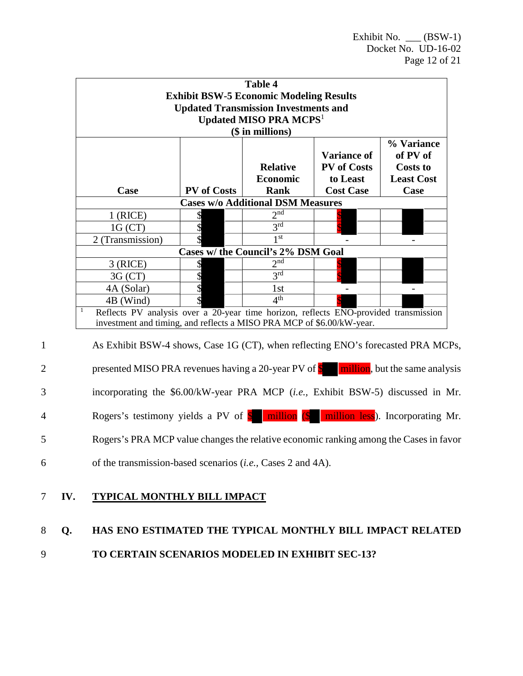|                |                                                                                                                                                               |                    | <b>Table 4</b><br><b>Exhibit BSW-5 Economic Modeling Results</b><br><b>Updated Transmission Investments and</b><br>Updated MISO PRA MCPS <sup>1</sup><br>(\$ in millions) |                                                                          |                                                                        |
|----------------|---------------------------------------------------------------------------------------------------------------------------------------------------------------|--------------------|---------------------------------------------------------------------------------------------------------------------------------------------------------------------------|--------------------------------------------------------------------------|------------------------------------------------------------------------|
|                | Case                                                                                                                                                          | <b>PV</b> of Costs | <b>Relative</b><br><b>Economic</b><br><b>Rank</b>                                                                                                                         | <b>Variance of</b><br><b>PV</b> of Costs<br>to Least<br><b>Cost Case</b> | % Variance<br>of PV of<br><b>Costs to</b><br><b>Least Cost</b><br>Case |
|                |                                                                                                                                                               |                    | <b>Cases w/o Additional DSM Measures</b>                                                                                                                                  |                                                                          |                                                                        |
|                | $1$ (RICE)                                                                                                                                                    |                    | 2 <sup>nd</sup>                                                                                                                                                           |                                                                          |                                                                        |
|                | 1G (CT)                                                                                                                                                       |                    | 3 <sup>rd</sup>                                                                                                                                                           |                                                                          |                                                                        |
|                | 2 (Transmission)                                                                                                                                              |                    | 1 <sup>st</sup>                                                                                                                                                           |                                                                          |                                                                        |
|                |                                                                                                                                                               |                    | Cases w/ the Council's 2% DSM Goal                                                                                                                                        |                                                                          |                                                                        |
|                | $3$ (RICE)                                                                                                                                                    |                    | $2^{n\overline{d}}$                                                                                                                                                       |                                                                          |                                                                        |
|                | 3G (CT)                                                                                                                                                       |                    | 3 <sup>rd</sup>                                                                                                                                                           |                                                                          |                                                                        |
|                | 4A (Solar)                                                                                                                                                    |                    | 1st                                                                                                                                                                       |                                                                          |                                                                        |
|                | 4B (Wind)                                                                                                                                                     |                    | 4 <sup>th</sup>                                                                                                                                                           |                                                                          |                                                                        |
|                | Reflects PV analysis over a 20-year time horizon, reflects ENO-provided transmission<br>investment and timing, and reflects a MISO PRA MCP of \$6.00/kW-year. |                    |                                                                                                                                                                           |                                                                          |                                                                        |
| $\mathbf{1}$   | As Exhibit BSW-4 shows, Case 1G (CT), when reflecting ENO's forecasted PRA MCPs,                                                                              |                    |                                                                                                                                                                           |                                                                          |                                                                        |
| $\overline{2}$ | presented MISO PRA revenues having a 20-year PV of <b>S</b> million, but the same analysis                                                                    |                    |                                                                                                                                                                           |                                                                          |                                                                        |
| 3              | incorporating the \$6.00/kW-year PRA MCP (i.e., Exhibit BSW-5) discussed in Mr.                                                                               |                    |                                                                                                                                                                           |                                                                          |                                                                        |
| 4              | Rogers's testimony yields a PV of <b>\$</b> million (\$ million less). Incorporating Mr.                                                                      |                    |                                                                                                                                                                           |                                                                          |                                                                        |
| 5              | Rogers's PRA MCP value changes the relative economic ranking among the Cases in favor                                                                         |                    |                                                                                                                                                                           |                                                                          |                                                                        |
| 6              | of the transmission-based scenarios ( <i>i.e.</i> , Cases 2 and 4A).                                                                                          |                    |                                                                                                                                                                           |                                                                          |                                                                        |

### 7 **IV. TYPICAL MONTHLY BILL IMPACT**

### 8 **Q. HAS ENO ESTIMATED THE TYPICAL MONTHLY BILL IMPACT RELATED**

9 **TO CERTAIN SCENARIOS MODELED IN EXHIBIT SEC-13?**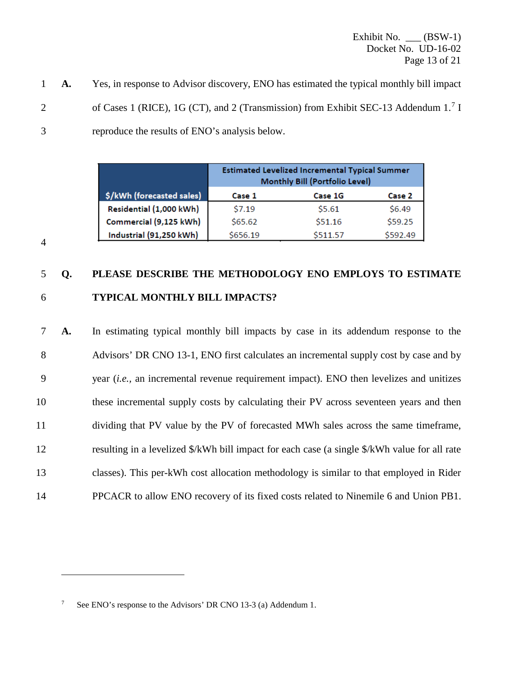Exhibit No.  $\_\_ (BSW-1)$ Docket No. UD-16-02 Page 13 of 21

 **A.** Yes, in response to Advisor discovery, ENO has estimated the typical monthly bill impact 2 of Cases 1 (RICE), 1G (CT), and 2 (Transmission) from Exhibit SEC-13 Addendum 1.<sup>[7](#page-13-0)</sup> I reproduce the results of ENO's analysis below.

|                           | <b>Estimated Levelized Incremental Typical Summer</b><br><b>Monthly Bill (Portfolio Level)</b> |          |          |  |
|---------------------------|------------------------------------------------------------------------------------------------|----------|----------|--|
| \$/kWh (forecasted sales) | Case 1                                                                                         | Case 1G  | Case 2   |  |
| Residential (1,000 kWh)   | \$7.19                                                                                         | \$5.61   | \$6.49   |  |
| Commercial (9,125 kWh)    | \$65.62                                                                                        | \$51.16  | \$59.25  |  |
| Industrial (91,250 kWh)   | \$656.19                                                                                       | \$511.57 | \$592.49 |  |

 $\overline{a}$ 

### **Q. PLEASE DESCRIBE THE METHODOLOGY ENO EMPLOYS TO ESTIMATE TYPICAL MONTHLY BILL IMPACTS?**

 **A.** In estimating typical monthly bill impacts by case in its addendum response to the 8 Advisors' DR CNO 13-1, ENO first calculates an incremental supply cost by case and by year (*i.e.,* an incremental revenue requirement impact). ENO then levelizes and unitizes these incremental supply costs by calculating their PV across seventeen years and then dividing that PV value by the PV of forecasted MWh sales across the same timeframe, resulting in a levelized \$/kWh bill impact for each case (a single \$/kWh value for all rate classes). This per-kWh cost allocation methodology is similar to that employed in Rider PPCACR to allow ENO recovery of its fixed costs related to Ninemile 6 and Union PB1.

<span id="page-13-0"></span>See ENO's response to the Advisors' DR CNO 13-3 (a) Addendum 1.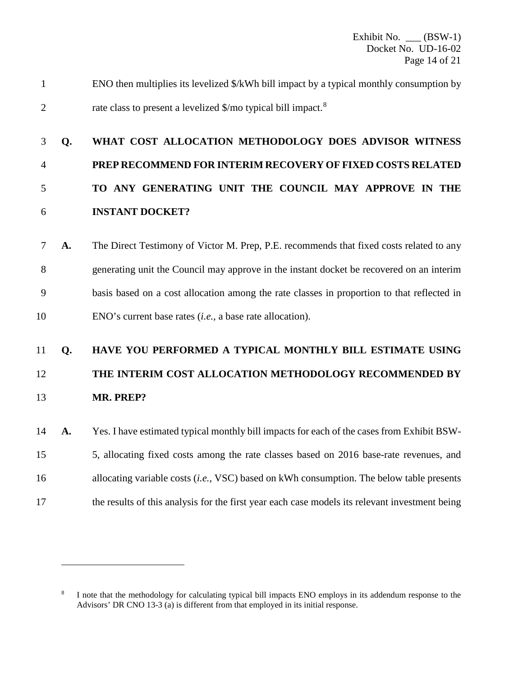ENO then multiplies its levelized \$/kWh bill impact by a typical monthly consumption by 2 rate class to present a levelized  $\gamma$ mo typical bill impact.<sup>[8](#page-14-0)</sup>

## **Q. WHAT COST ALLOCATION METHODOLOGY DOES ADVISOR WITNESS PREP RECOMMEND FOR INTERIM RECOVERY OF FIXED COSTS RELATED TO ANY GENERATING UNIT THE COUNCIL MAY APPROVE IN THE INSTANT DOCKET?**

 **A.** The Direct Testimony of Victor M. Prep, P.E. recommends that fixed costs related to any generating unit the Council may approve in the instant docket be recovered on an interim basis based on a cost allocation among the rate classes in proportion to that reflected in ENO's current base rates (*i.e.,* a base rate allocation).

## **Q. HAVE YOU PERFORMED A TYPICAL MONTHLY BILL ESTIMATE USING THE INTERIM COST ALLOCATION METHODOLOGY RECOMMENDED BY MR. PREP?**

 **A.** Yes. I have estimated typical monthly bill impacts for each of the cases from Exhibit BSW-5, allocating fixed costs among the rate classes based on 2016 base-rate revenues, and

- allocating variable costs (*i.e.,* VSC) based on kWh consumption. The below table presents
- the results of this analysis for the first year each case models its relevant investment being

 $\overline{a}$ 

<span id="page-14-0"></span> I note that the methodology for calculating typical bill impacts ENO employs in its addendum response to the Advisors' DR CNO 13-3 (a) is different from that employed in its initial response.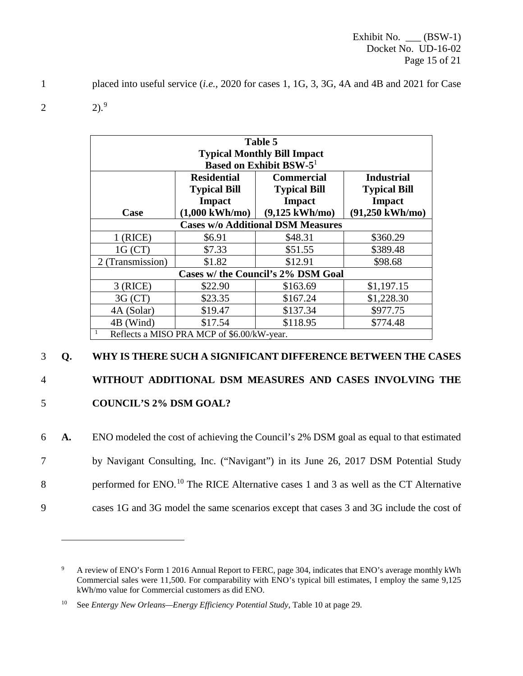1 placed into useful service (*i.e.,* 2020 for cases 1, 1G, 3, 3G, 4A and 4B and 2021 for Case

2 2).<sup>[9](#page-15-0)</sup>

| Table 5                                    |                                    |                                     |                            |  |
|--------------------------------------------|------------------------------------|-------------------------------------|----------------------------|--|
|                                            | <b>Typical Monthly Bill Impact</b> |                                     |                            |  |
|                                            |                                    | Based on Exhibit BSW-5 <sup>1</sup> |                            |  |
|                                            | <b>Residential</b>                 | <b>Commercial</b>                   | <b>Industrial</b>          |  |
|                                            | <b>Typical Bill</b>                | <b>Typical Bill</b>                 | <b>Typical Bill</b>        |  |
|                                            | <b>Impact</b>                      | <b>Impact</b>                       | <b>Impact</b>              |  |
| Case                                       | $(1,000 \text{ kWh/mol})$          | $(9,125 \text{ kWh/mol})$           | $(91,250 \text{ kWh/mol})$ |  |
| <b>Cases w/o Additional DSM Measures</b>   |                                    |                                     |                            |  |
| $1$ (RICE)                                 | \$6.91                             | \$48.31                             | \$360.29                   |  |
| 1G (CT)                                    | \$7.33                             | \$51.55                             | \$389.48                   |  |
| 2 (Transmission)                           | \$1.82                             | \$12.91                             | \$98.68                    |  |
|                                            |                                    | Cases w/ the Council's 2% DSM Goal  |                            |  |
| $3$ (RICE)                                 | \$22.90                            | \$163.69                            | \$1,197.15                 |  |
| 3G (CT)                                    | \$23.35                            | \$167.24                            | \$1,228.30                 |  |
| 4A (Solar)                                 | \$19.47                            | \$137.34                            | \$977.75                   |  |
| 4B (Wind)                                  | \$17.54                            | \$118.95                            | \$774.48                   |  |
| Reflects a MISO PRA MCP of \$6.00/kW-year. |                                    |                                     |                            |  |

### 3 **Q. WHY IS THERE SUCH A SIGNIFICANT DIFFERENCE BETWEEN THE CASES**

 $\overline{a}$ 

## 4 **WITHOUT ADDITIONAL DSM MEASURES AND CASES INVOLVING THE**  5 **COUNCIL'S 2% DSM GOAL?**

- 6 **A.** ENO modeled the cost of achieving the Council's 2% DSM goal as equal to that estimated 7 by Navigant Consulting, Inc. ("Navigant") in its June 26, 2017 DSM Potential Study 8 berformed for ENO.<sup>[10](#page-15-1)</sup> The RICE Alternative cases 1 and 3 as well as the CT Alternative
- 9 cases 1G and 3G model the same scenarios except that cases 3 and 3G include the cost of

<span id="page-15-0"></span><sup>9</sup> A review of ENO's Form 1 2016 Annual Report to FERC, page 304, indicates that ENO's average monthly kWh Commercial sales were 11,500. For comparability with ENO's typical bill estimates, I employ the same 9,125 kWh/mo value for Commercial customers as did ENO.

<span id="page-15-1"></span><sup>10</sup> See *Entergy New Orleans—Energy Efficiency Potential Study*, Table 10 at page 29.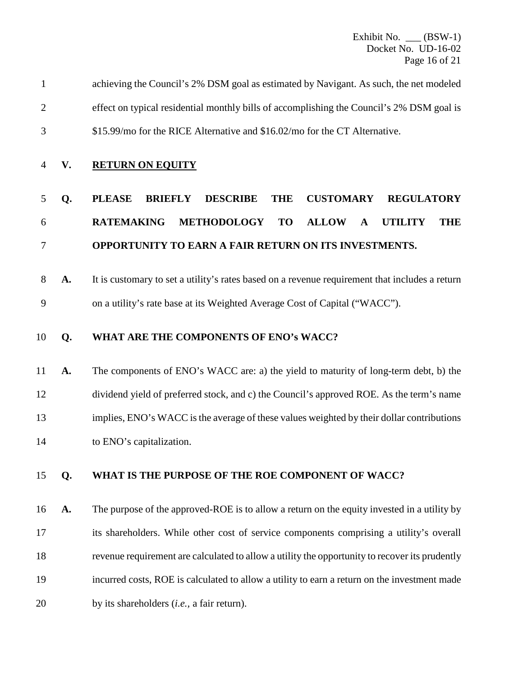| achieving the Council's 2% DSM goal as estimated by Navigant. As such, the net modeled    |
|-------------------------------------------------------------------------------------------|
| effect on typical residential monthly bills of accomplishing the Council's 2% DSM goal is |
| \$15.99/mo for the RICE Alternative and \$16.02/mo for the CT Alternative.                |

### **V. RETURN ON EQUITY**

## **Q. PLEASE BRIEFLY DESCRIBE THE CUSTOMARY REGULATORY RATEMAKING METHODOLOGY TO ALLOW A UTILITY THE OPPORTUNITY TO EARN A FAIR RETURN ON ITS INVESTMENTS.**

 **A.** It is customary to set a utility's rates based on a revenue requirement that includes a return on a utility's rate base at its Weighted Average Cost of Capital ("WACC").

#### **Q. WHAT ARE THE COMPONENTS OF ENO's WACC?**

 **A.** The components of ENO's WACC are: a) the yield to maturity of long-term debt, b) the dividend yield of preferred stock, and c) the Council's approved ROE. As the term's name implies, ENO's WACC is the average of these values weighted by their dollar contributions to ENO's capitalization.

### **Q. WHAT IS THE PURPOSE OF THE ROE COMPONENT OF WACC?**

 **A.** The purpose of the approved-ROE is to allow a return on the equity invested in a utility by its shareholders. While other cost of service components comprising a utility's overall revenue requirement are calculated to allow a utility the opportunity to recover its prudently incurred costs, ROE is calculated to allow a utility to earn a return on the investment made by its shareholders (*i.e.,* a fair return).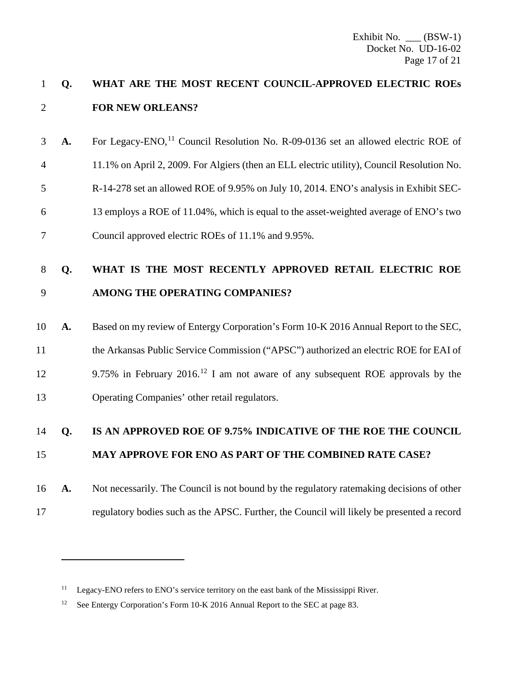### **Q. WHAT ARE THE MOST RECENT COUNCIL-APPROVED ELECTRIC ROEs FOR NEW ORLEANS?**

**A.** For Legacy-ENO,<sup>[11](#page-17-0)</sup> Council Resolution No. R-09-0136 set an allowed electric ROE of 11.1% on April 2, 2009. For Algiers (then an ELL electric utility), Council Resolution No. R-14-278 set an allowed ROE of 9.95% on July 10, 2014. ENO's analysis in Exhibit SEC- 13 employs a ROE of 11.04%, which is equal to the asset-weighted average of ENO's two Council approved electric ROEs of 11.1% and 9.95%.

### **Q. WHAT IS THE MOST RECENTLY APPROVED RETAIL ELECTRIC ROE AMONG THE OPERATING COMPANIES?**

 **A.** Based on my review of Entergy Corporation's Form 10-K 2016 Annual Report to the SEC, the Arkansas Public Service Commission ("APSC") authorized an electric ROE for EAI of 9.75% in February 2016.<sup>12</sup> I am not aware of any subsequent ROE approvals by the Operating Companies' other retail regulators.

### **Q. IS AN APPROVED ROE OF 9.75% INDICATIVE OF THE ROE THE COUNCIL MAY APPROVE FOR ENO AS PART OF THE COMBINED RATE CASE?**

- **A.** Not necessarily. The Council is not bound by the regulatory ratemaking decisions of other
- regulatory bodies such as the APSC. Further, the Council will likely be presented a record

 $\overline{a}$ 

<span id="page-17-0"></span><sup>&</sup>lt;sup>11</sup> Legacy-ENO refers to ENO's service territory on the east bank of the Mississippi River.

<span id="page-17-1"></span><sup>&</sup>lt;sup>12</sup> See Entergy Corporation's Form 10-K 2016 Annual Report to the SEC at page 83.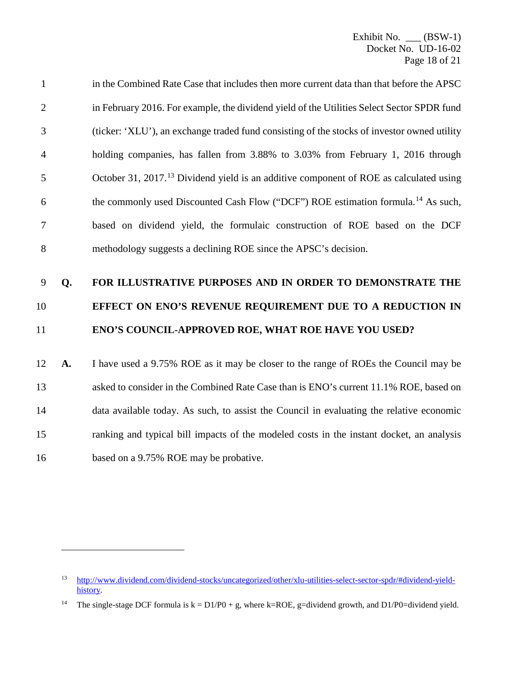| $\mathbf{1}$   |    | in the Combined Rate Case that includes then more current data than that before the APSC           |
|----------------|----|----------------------------------------------------------------------------------------------------|
| $\overline{2}$ |    | in February 2016. For example, the dividend yield of the Utilities Select Sector SPDR fund         |
| 3              |    | (ticker: 'XLU'), an exchange traded fund consisting of the stocks of investor owned utility        |
| $\overline{4}$ |    | holding companies, has fallen from 3.88% to 3.03% from February 1, 2016 through                    |
| 5              |    | October 31, 2017. <sup>13</sup> Dividend yield is an additive component of ROE as calculated using |
| 6              |    | the commonly used Discounted Cash Flow ("DCF") ROE estimation formula. <sup>14</sup> As such,      |
| 7              |    | based on dividend yield, the formulaic construction of ROE based on the DCF                        |
| 8              |    | methodology suggests a declining ROE since the APSC's decision.                                    |
| 9              | Q. | <b>FOR ILLUSTRATIVE PURPOSES AND IN ORDER TO DEMONSTRATE THE</b>                                   |
| 10             |    | EFFECT ON ENO'S REVENUE REQUIREMENT DUE TO A REDUCTION IN                                          |
| 11             |    | ENO'S COUNCIL-APPROVED ROE, WHAT ROE HAVE YOU USED?                                                |
| 12             | A. | I have used a 9.75% ROE as it may be closer to the range of ROEs the Council may be                |
| 13             |    | asked to consider in the Combined Rate Case than is ENO's current 11.1% ROE, based on              |
| 14             |    | data available today. As such, to assist the Council in evaluating the relative economic           |

15 ranking and typical bill impacts of the modeled costs in the instant docket, an analysis

16 based on a 9.75% ROE may be probative.

 $\overline{a}$ 

<span id="page-18-0"></span><sup>13</sup> [http://www.dividend.com/dividend-stocks/uncategorized/other/xlu-utilities-select-sector-spdr/#dividend-yield](http://www.dividend.com/dividend-stocks/uncategorized/other/xlu-utilities-select-sector-spdr/#dividend-yield-history)[history.](http://www.dividend.com/dividend-stocks/uncategorized/other/xlu-utilities-select-sector-spdr/#dividend-yield-history)

<span id="page-18-1"></span><sup>&</sup>lt;sup>14</sup> The single-stage DCF formula is  $k = D1/P0 + g$ , where k=ROE, g=dividend growth, and D1/P0=dividend yield.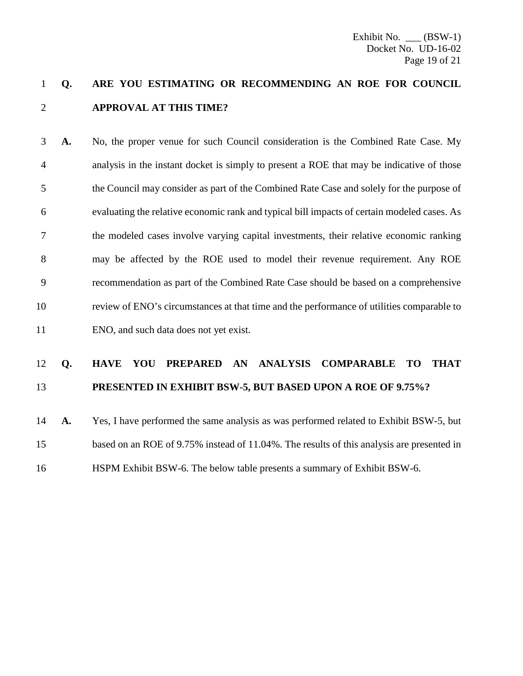### **Q. ARE YOU ESTIMATING OR RECOMMENDING AN ROE FOR COUNCIL APPROVAL AT THIS TIME?**

 **A.** No, the proper venue for such Council consideration is the Combined Rate Case. My analysis in the instant docket is simply to present a ROE that may be indicative of those the Council may consider as part of the Combined Rate Case and solely for the purpose of evaluating the relative economic rank and typical bill impacts of certain modeled cases. As the modeled cases involve varying capital investments, their relative economic ranking may be affected by the ROE used to model their revenue requirement. Any ROE recommendation as part of the Combined Rate Case should be based on a comprehensive review of ENO's circumstances at that time and the performance of utilities comparable to ENO, and such data does not yet exist.

### **Q. HAVE YOU PREPARED AN ANALYSIS COMPARABLE TO THAT PRESENTED IN EXHIBIT BSW-5, BUT BASED UPON A ROE OF 9.75%?**

 **A.** Yes, I have performed the same analysis as was performed related to Exhibit BSW-5, but based on an ROE of 9.75% instead of 11.04%. The results of this analysis are presented in HSPM Exhibit BSW-6. The below table presents a summary of Exhibit BSW-6.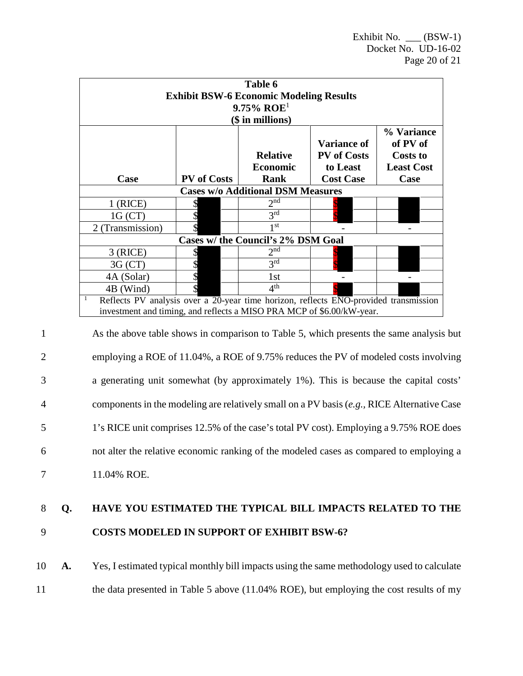| Table 6                                                                                     |                    |                 |                                          |                             |  |  |  |  |  |
|---------------------------------------------------------------------------------------------|--------------------|-----------------|------------------------------------------|-----------------------------|--|--|--|--|--|
| <b>Exhibit BSW-6 Economic Modeling Results</b>                                              |                    |                 |                                          |                             |  |  |  |  |  |
| $9.75\%$ ROE <sup>1</sup>                                                                   |                    |                 |                                          |                             |  |  |  |  |  |
| $($$ in millions)                                                                           |                    |                 |                                          |                             |  |  |  |  |  |
|                                                                                             |                    |                 |                                          | % Variance                  |  |  |  |  |  |
|                                                                                             |                    | <b>Relative</b> | <b>Variance of</b><br><b>PV</b> of Costs | of PV of<br><b>Costs to</b> |  |  |  |  |  |
|                                                                                             |                    | <b>Economic</b> | to Least                                 | <b>Least Cost</b>           |  |  |  |  |  |
| Case                                                                                        | <b>PV</b> of Costs | Rank            | <b>Cost Case</b>                         | Case                        |  |  |  |  |  |
| <b>Cases w/o Additional DSM Measures</b>                                                    |                    |                 |                                          |                             |  |  |  |  |  |
| $1$ (RICE)                                                                                  |                    | 2 <sub>nd</sub> |                                          |                             |  |  |  |  |  |
| 1G (CT)                                                                                     |                    | $2^{rd}$        |                                          |                             |  |  |  |  |  |
| 2 (Transmission)                                                                            |                    | 1 <sup>st</sup> |                                          |                             |  |  |  |  |  |
| Cases w/ the Council's 2% DSM Goal                                                          |                    |                 |                                          |                             |  |  |  |  |  |
| $3$ (RICE)                                                                                  |                    | 2 <sup>nd</sup> |                                          |                             |  |  |  |  |  |
| $3G$ (CT)                                                                                   |                    | 3 <sup>rd</sup> |                                          |                             |  |  |  |  |  |
| 4A (Solar)                                                                                  |                    | 1 <sub>st</sub> |                                          |                             |  |  |  |  |  |
| 4B (Wind)                                                                                   |                    | 4 <sup>th</sup> |                                          |                             |  |  |  |  |  |
| - 1<br>Reflects PV analysis over a 20-year time horizon, reflects ENO-provided transmission |                    |                 |                                          |                             |  |  |  |  |  |
| investment and timing, and reflects a MISO PRA MCP of \$6.00/kW-year.                       |                    |                 |                                          |                             |  |  |  |  |  |

1 As the above table shows in comparison to Table 5, which presents the same analysis but 2 employing a ROE of 11.04%, a ROE of 9.75% reduces the PV of modeled costs involving 3 a generating unit somewhat (by approximately 1%). This is because the capital costs' 4 components in the modeling are relatively small on a PV basis (*e.g.,* RICE Alternative Case 5 1's RICE unit comprises 12.5% of the case's total PV cost). Employing a 9.75% ROE does 6 not alter the relative economic ranking of the modeled cases as compared to employing a 7 11.04% ROE.

### 8 **Q. HAVE YOU ESTIMATED THE TYPICAL BILL IMPACTS RELATED TO THE**  9 **COSTS MODELED IN SUPPORT OF EXHIBIT BSW-6?**

10 **A.** Yes, I estimated typical monthly bill impacts using the same methodology used to calculate 11 the data presented in Table 5 above (11.04% ROE), but employing the cost results of my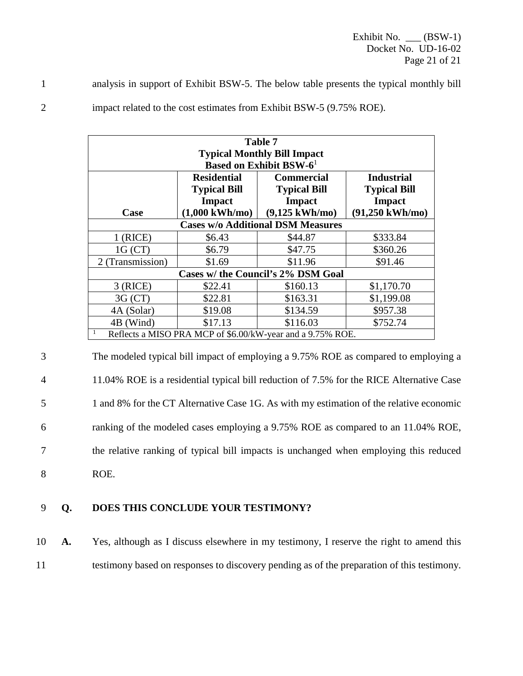1 analysis in support of Exhibit BSW-5. The below table presents the typical monthly bill

<sup>2</sup> impact related to the cost estimates from Exhibit BSW-5 (9.75% ROE).

| Table 7                                                    |                           |                           |                            |  |  |  |  |  |
|------------------------------------------------------------|---------------------------|---------------------------|----------------------------|--|--|--|--|--|
| <b>Typical Monthly Bill Impact</b>                         |                           |                           |                            |  |  |  |  |  |
| <b>Based on Exhibit BSW-61</b>                             |                           |                           |                            |  |  |  |  |  |
|                                                            | <b>Residential</b>        | <b>Commercial</b>         | <b>Industrial</b>          |  |  |  |  |  |
|                                                            | <b>Typical Bill</b>       | <b>Typical Bill</b>       | <b>Typical Bill</b>        |  |  |  |  |  |
|                                                            | <b>Impact</b>             | <b>Impact</b>             | <b>Impact</b>              |  |  |  |  |  |
| Case                                                       | $(1,000 \text{ kWh/mol})$ | $(9,125 \text{ kWh/mol})$ | $(91,250 \text{ kWh/mol})$ |  |  |  |  |  |
| <b>Cases w/o Additional DSM Measures</b>                   |                           |                           |                            |  |  |  |  |  |
| $1$ (RICE)                                                 | \$6.43                    | \$44.87                   | \$333.84                   |  |  |  |  |  |
| 1G (CT)                                                    | \$6.79                    | \$47.75                   | \$360.26                   |  |  |  |  |  |
| 2 (Transmission)                                           | \$1.69                    | \$11.96                   | \$91.46                    |  |  |  |  |  |
| Cases w/ the Council's 2% DSM Goal                         |                           |                           |                            |  |  |  |  |  |
| $3$ (RICE)                                                 | \$22.41                   | \$160.13                  | \$1,170.70                 |  |  |  |  |  |
| 3G (CT)                                                    | \$22.81                   | \$163.31                  | \$1,199.08                 |  |  |  |  |  |
| 4A (Solar)                                                 | \$19.08                   | \$134.59                  | \$957.38                   |  |  |  |  |  |
| 4B (Wind)                                                  | \$17.13                   | \$116.03                  | \$752.74                   |  |  |  |  |  |
| Reflects a MISO PRA MCP of \$6.00/kW-year and a 9.75% ROE. |                           |                           |                            |  |  |  |  |  |

 The modeled typical bill impact of employing a 9.75% ROE as compared to employing a 11.04% ROE is a residential typical bill reduction of 7.5% for the RICE Alternative Case 1 and 8% for the CT Alternative Case 1G. As with my estimation of the relative economic ranking of the modeled cases employing a 9.75% ROE as compared to an 11.04% ROE, the relative ranking of typical bill impacts is unchanged when employing this reduced 8 ROE.

### 9 **Q. DOES THIS CONCLUDE YOUR TESTIMONY?**

10 **A.** Yes, although as I discuss elsewhere in my testimony, I reserve the right to amend this 11 testimony based on responses to discovery pending as of the preparation of this testimony.